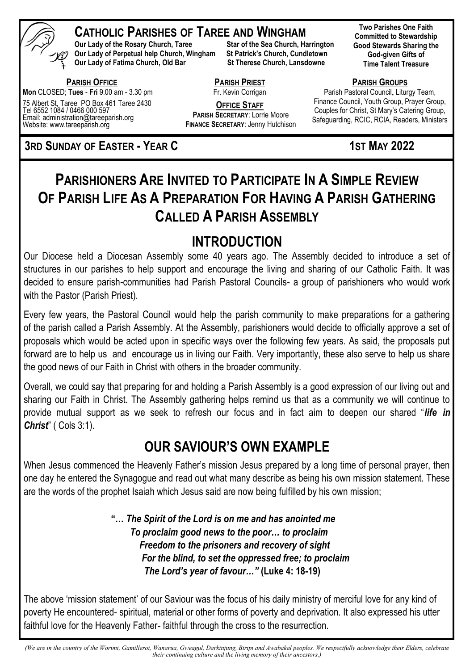

### **CATHOLIC PARISHES OF TAREE AND WINGHAM**

**Our Lady of the Rosary Church, Taree Star of the Sea Church, Harrington Our Lady of Perpetual help Church, Wingham St Patrick's Church, Cundletown Our Lady of Fatima Church, Old Bar St Therese Church, Lansdowne** 

 **PARISH OFFICE Mon** CLOSED; **Tues** - **Fri** 9.00 am - 3.30 pm

75 Albert St, Taree PO Box 461 Taree 2430 Tel 6552 1084 / 0466 000 597 Email: administration@tareeparish.org Website: www.tareeparish.org

**3RD SUNDAY OF EASTER - YEAR C 1ST MAY 2022** 

**Two Parishes One Faith Committed to Stewardship Good Stewards Sharing the God-given Gifts of Time Talent Treasure**

**PARISH GROUPS**

Parish Pastoral Council, Liturgy Team, Finance Council, Youth Group, Prayer Group, Couples for Christ, St Mary's Catering Group, Safeguarding, RCIC, RCIA, Readers, Ministers

# **PARISHIONERS ARE INVITED TO PARTICIPATE IN A SIMPLE REVIEW OF PARISH LIFE AS A PREPARATION FOR HAVING A PARISH GATHERING CALLED A PARISH ASSEMBLY**

**PARISH PRIEST**  Fr. Kevin Corrigan **OFFICE STAFF PARISH SECRETARY**: Lorrie Moore **FINANCE SECRETARY**: Jenny Hutchison

# **INTRODUCTION**

Our Diocese held a Diocesan Assembly some 40 years ago. The Assembly decided to introduce a set of structures in our parishes to help support and encourage the living and sharing of our Catholic Faith. It was decided to ensure parish-communities had Parish Pastoral Councils- a group of parishioners who would work with the Pastor (Parish Priest).

Every few years, the Pastoral Council would help the parish community to make preparations for a gathering of the parish called a Parish Assembly. At the Assembly, parishioners would decide to officially approve a set of proposals which would be acted upon in specific ways over the following few years. As said, the proposals put forward are to help us and encourage us in living our Faith. Very importantly, these also serve to help us share the good news of our Faith in Christ with others in the broader community.

Overall, we could say that preparing for and holding a Parish Assembly is a good expression of our living out and sharing our Faith in Christ. The Assembly gathering helps remind us that as a community we will continue to provide mutual support as we seek to refresh our focus and in fact aim to deepen our shared "*life in Christ*" ( Cols 3:1).

## **OUR SAVIOUR'S OWN EXAMPLE**

When Jesus commenced the Heavenly Father's mission Jesus prepared by a long time of personal prayer, then one day he entered the Synagogue and read out what many describe as being his own mission statement. These are the words of the prophet Isaiah which Jesus said are now being fulfilled by his own mission;

> **"…** *The Spirit of the Lord is on me and has anointed me To proclaim good news to the poor… to proclaim Freedom to the prisoners and recovery of sight For the blind, to set the oppressed free; to proclaim The Lord's year of favour…"* **(Luke 4: 18-19)**

The above 'mission statement' of our Saviour was the focus of his daily ministry of merciful love for any kind of poverty He encountered- spiritual, material or other forms of poverty and deprivation. It also expressed his utter faithful love for the Heavenly Father- faithful through the cross to the resurrection.

*(We are in the country of the Worimi, Gamilleroi, Wanarua, Gweagul, Darkinjung, Biripi and Awabakal peoples. We respectfully acknowledge their Elders, celebrate their continuing culture and the living memory of their ancestors.)*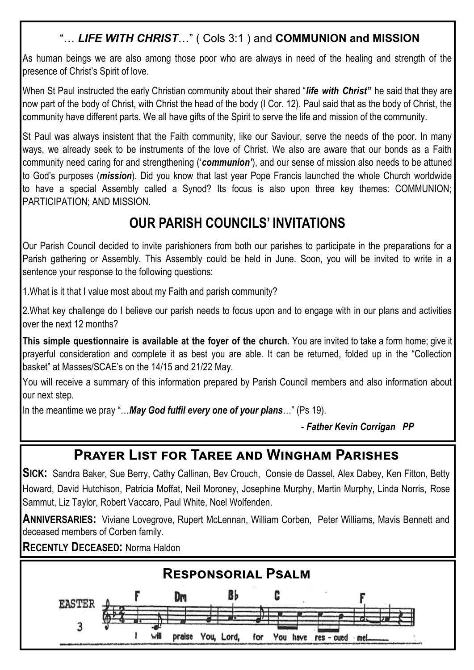### "… *LIFE WITH CHRIST*…" ( Cols 3:1 ) and **COMMUNION and MISSION**

As human beings we are also among those poor who are always in need of the healing and strength of the presence of Christ's Spirit of love.

When St Paul instructed the early Christian community about their shared "*life with Christ"* he said that they are now part of the body of Christ, with Christ the head of the body (I Cor. 12). Paul said that as the body of Christ, the community have different parts. We all have gifts of the Spirit to serve the life and mission of the community.

St Paul was always insistent that the Faith community, like our Saviour, serve the needs of the poor. In many ways, we already seek to be instruments of the love of Christ. We also are aware that our bonds as a Faith community need caring for and strengthening ('*communion'*), and our sense of mission also needs to be attuned to God's purposes (*mission*). Did you know that last year Pope Francis launched the whole Church worldwide to have a special Assembly called a Synod? Its focus is also upon three key themes: COMMUNION; PARTICIPATION; AND MISSION.

## **OUR PARISH COUNCILS' INVITATIONS**

Our Parish Council decided to invite parishioners from both our parishes to participate in the preparations for a Parish gathering or Assembly. This Assembly could be held in June. Soon, you will be invited to write in a sentence your response to the following questions:

1.What is it that I value most about my Faith and parish community?

I

2.What key challenge do I believe our parish needs to focus upon and to engage with in our plans and activities over the next 12 months?

**This simple questionnaire is available at the foyer of the church**. You are invited to take a form home; give it prayerful consideration and complete it as best you are able. It can be returned, folded up in the "Collection basket" at Masses/SCAE's on the 14/15 and 21/22 May.

You will receive a summary of this information prepared by Parish Council members and also information about our next step.

In the meantime we pray "…*May God fulfil every one of your plans*…" (Ps 19).

- *Father Kevin Corrigan PP*

### **Prayer List for Taree and Wingham Parishes**

**SICK:** Sandra Baker, Sue Berry, Cathy Callinan, Bev Crouch, Consie de Dassel, Alex Dabey, Ken Fitton, Betty Howard, David Hutchison, Patricia Moffat, Neil Moroney, Josephine Murphy, Martin Murphy, Linda Norris, Rose Sammut, Liz Taylor, Robert Vaccaro, Paul White, Noel Wolfenden.

**ANNIVERSARIES:** Viviane Lovegrove, Rupert McLennan, William Corben, Peter Williams, Mavis Bennett and deceased members of Corben family.

**RECENTLY DECEASED:** Norma Haldon

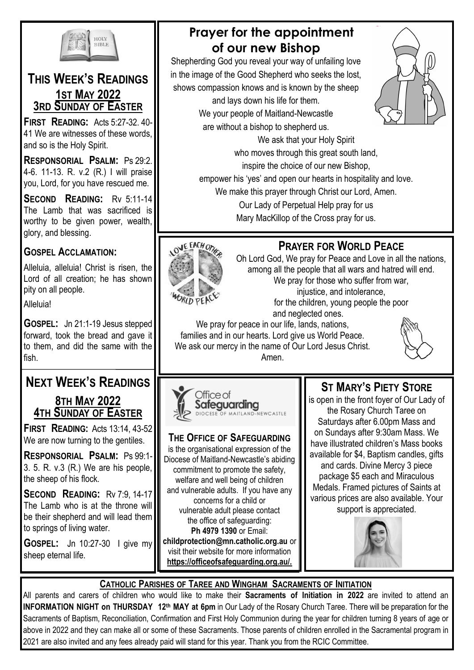

#### **THIS WEEK'S READINGS 1ST MAY 2022 3RD SUNDAY OF EASTER**

**FIRST READING:** Acts 5:27-32. 40- 41 We are witnesses of these words, and so is the Holy Spirit.

**RESPONSORIAL PSALM:** Ps 29:2. 4-6. 11-13. R. v.2 (R.) I will praise you, Lord, for you have rescued me.

**SECOND READING:** Rv 5:11-14 The Lamb that was sacrificed is worthy to be given power, wealth, glory, and blessing.

### **GOSPEL ACCLAMATION:**

Alleluia, alleluia! Christ is risen, the Lord of all creation; he has shown pity on all people.

**Alleluia!** 

**GOSPEL:** Jn 21:1-19 Jesus stepped forward, took the bread and gave it to them, and did the same with the fish.

# **NEXT WEEK'S READINGS**

#### **8TH MAY 2022 4TH SUNDAY OF EASTER**

**FIRST READING:** Acts 13:14, 43-52 We are now turning to the gentiles.

**RESPONSORIAL PSALM:** Ps 99:1- 3. 5. R. v.3 (R.) We are his people, the sheep of his flock.

**SECOND READING:** Rv 7:9, 14-17 The Lamb who is at the throne will be their shepherd and will lead them to springs of living water.

**GOSPEL:** Jn 10:27-30 I give my sheep eternal life.

### **Prayer for the appointment of our new Bishop**

Shepherding God you reveal your way of unfailing love in the image of the Good Shepherd who seeks the lost, shows compassion knows and is known by the sheep and lays down his life for them. We your people of Maitland-Newcastle are without a bishop to shepherd us.



who moves through this great south land, inspire the choice of our new Bishop, empower his 'yes' and open our hearts in hospitality and love. We make this prayer through Christ our Lord, Amen. Our Lady of Perpetual Help pray for us Mary MacKillop of the Cross pray for us.

We ask that your Holy Spirit

### **PRAYER FOR WORLD PEACE**



Oh Lord God, We pray for Peace and Love in all the nations, among all the people that all wars and hatred will end. We pray for those who suffer from war, injustice, and intolerance, for the children, young people the poor and neglected ones.

We pray for peace in our life, lands, nations, families and in our hearts. Lord give us World Peace. We ask our mercy in the name of Our Lord Jesus Christ. Amen.



#### Office of Safeguarding OF MAITLAND-NEWCASTLE

#### **THE OFFICE OF SAFEGUARDING**

is the organisational expression of the Diocese of Maitland-Newcastle's abiding commitment to promote the safety, welfare and well being of children and vulnerable adults. If you have any concerns for a child or vulnerable adult please contact the office of safeguarding: **Ph 4979 1390** or Email: **childprotection@mn.catholic.org.au** or visit their website for more information **https://officeofsafeguarding.org.au/.**

### **ST MARY'S PIETY STORE**

is open in the front foyer of Our Lady of the Rosary Church Taree on Saturdays after 6.00pm Mass and on Sundays after 9:30am Mass. We have illustrated children's Mass books available for \$4, Baptism candles, gifts and cards. Divine Mercy 3 piece package \$5 each and Miraculous Medals. Framed pictures of Saints at various prices are also available. Your support is appreciated.



#### **CATHOLIC PARISHES OF TAREE AND WINGHAM SACRAMENTS OF INITIATION**

All parents and carers of children who would like to make their **Sacraments of Initiation in 2022** are invited to attend an **INFORMATION NIGHT on THURSDAY 12th MAY at 6pm** in Our Lady of the Rosary Church Taree. There will be preparation for the Sacraments of Baptism, Reconciliation, Confirmation and First Holy Communion during the year for children turning 8 years of age or above in 2022 and they can make all or some of these Sacraments. Those parents of children enrolled in the Sacramental program in 2021 are also invited and any fees already paid will stand for this year. Thank you from the RCIC Committee.